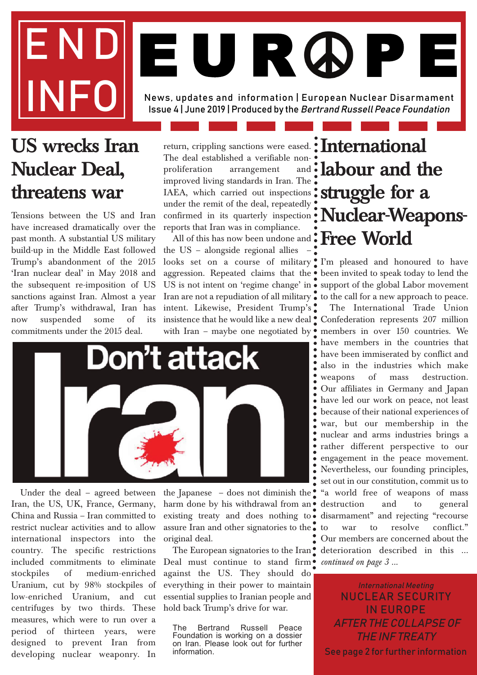# END News, updates and information | European Nuclear Disarmament Issue 4 | June 2019 | Produced by the Bertrand Russell Peace Foundation EUR ØP

## **US wrecks Iran Nuclear Deal, threatens war**

Tensions between the US and Iran have increased dramatically over the past month. A substantial US military build-up in the Middle East followed Trump's abandonment of the 2015 'Iran nuclear deal' in May 2018 and the subsequent re-imposition of US sanctions against Iran. Almost a year after Trump's withdrawal, Iran has now suspended some of its commitments under the 2015 deal.

return, crippling sanctions were eased. **International** The deal established a verifiable nonproliferation arrangement improved living standards in Iran. The IAEA, which carried out inspections under the remit of the deal, repeatedly confirmed in its quarterly inspection reports that Iran was in compliance.

All of this has now been undone and the US – alongside regional allies – looks set on a course of military I'm pleased and honoured to have aggression. Repeated claims that the US is not intent on 'regime change' in  $\bullet$  support of the global Labor movement Iran are not a repudiation of all military  $\bullet$  to the call for a new approach to peace. intent. Likewise, President Trump's insistence that he would like a new deal Confederation represents 207 million with Iran - maybe one negotiated by  $\bullet$ 



Under the deal – agreed between Iran, the US, UK, France, Germany, China and Russia – Iran committed to restrict nuclear activities and to allow international inspectors into the country. The specific restrictions included commitments to eliminate stockpiles of medium-enriched Uranium, cut by 98% stockpiles of low-enriched Uranium, and cut centrifuges by two thirds. These measures, which were to run over a period of thirteen years, were designed to prevent Iran from developing nuclear weaponry. In

the Japanese – does not diminish the  $\bullet$ harm done by his withdrawal from an  $\bullet$ existing treaty and does nothing to assure Iran and other signatories to the original deal.

Deal must continue to stand firm<sup>o</sup> continued on page 3 ... against the US. They should do everything in their power to maintain essential supplies to Iranian people and hold back Trump's drive for war.

The Bertrand Russell Peace Foundation is working on a dossier on Iran. Please look out for further information.

# and **ilabour and the struggle for a Nuclear-Weapons-Free World**

been invited to speak today to lend the

The European signatories to the Iran teterioration described in this ... The International Trade Union members in over 150 countries. We have members in the countries that have been immiserated by conflict and also in the industries which make weapons of mass destruction. Our affiliates in Germany and Japan have led our work on peace, not least because of their national experiences of war, but our membership in the nuclear and arms industries brings a rather different perspective to our engagement in the peace movement. Nevertheless, our founding principles, set out in our constitution, commit us to "a world free of weapons of mass destruction and to general disarmament" and rejecting "recourse war to resolve conflict." Our members are concerned about the

> International Meeting NUCLEAR SECURITY IN EUROPE AFTER THE COLLAPSE OF THE INF TREATY See page 2 for further information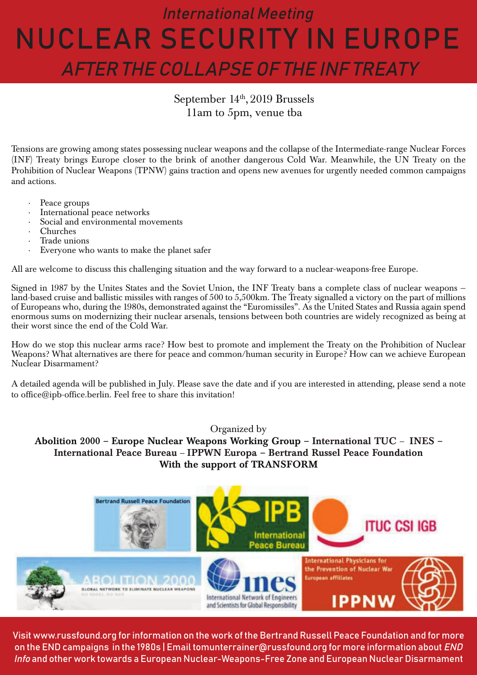## International Meeting NUCLEAR SECURITY IN EUROPE AFTER THE COLLAPSE OF THE INF TREATY

### September 14<sup>th</sup>, 2019 Brussels 11am to 5pm, venue tba

Tensions are growing among states possessing nuclear weapons and the collapse of the Intermediate-range Nuclear Forces (INF) Treaty brings Europe closer to the brink of another dangerous Cold War. Meanwhile, the UN Treaty on the Prohibition of Nuclear Weapons (TPNW) gains traction and opens new avenues for urgently needed common campaigns and actions.

- · Peace groups
- · International peace networks
- Social and environmental movements
- · Churches
- · Trade unions
- Everyone who wants to make the planet safer

All are welcome to discuss this challenging situation and the way forward to a nuclear-weapons-free Europe.

Signed in 1987 by the Unites States and the Soviet Union, the INF Treaty bans a complete class of nuclear weapons land-based cruise and ballistic missiles with ranges of 500 to 5,500km. The Treaty signalled a victory on the part of millions of Europeans who, during the 1980s, demonstrated against the "Euromissiles". As the United States and Russia again spend enormous sums on modernizing their nuclear arsenals, tensions between both countries are widely recognized as being at their worst since the end of the Cold War.

How do we stop this nuclear arms race? How best to promote and implement the Treaty on the Prohibition of Nuclear Weapons? What alternatives are there for peace and common/human security in Europe? How can we achieve European Nuclear Disarmament?

A detailed agenda will be published in July. Please save the date and if you are interested in attending, please send a note to office@ipb-office.berlin. Feel free to share this invitation!

Organized by

**Abolition 2000 – Europe Nuclear Weapons Working Group – International TUC** – **INES – International Peace Bureau** – **IPPWN Europa – Bertrand Russel Peace Foundation With the support of TRANSFORM**



Visit www.russfound.org for information on the work of the Bertrand Russell Peace Foundation and for more on the END campaigns in the 1980s | Email tomunterrainer@russfound.org for more information about END Info and other work towards a European Nuclear-Weapons-Free Zone and European Nuclear Disarmament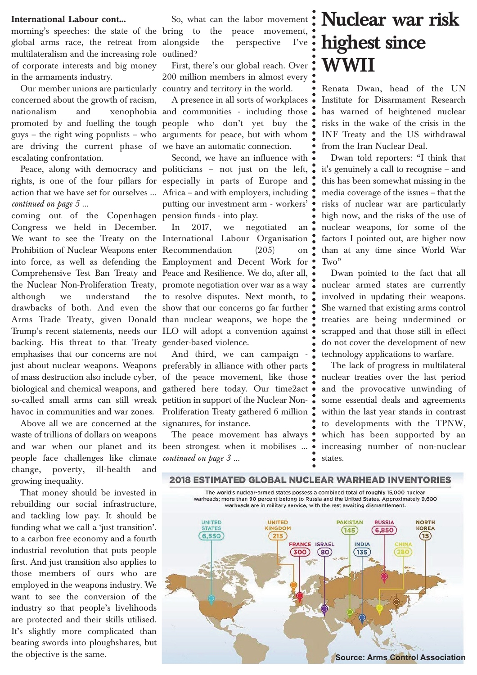#### **International Labour cont...**

morning's speeches: the state of the bring to global arms race, the retreat from multilateralism and the increasing role outlined? of corporate interests and big money in the armaments industry.

Our member unions are particularly country and territory in the world. concerned about the growth of racism, are driving the current phase of we have an automatic connection. escalating confrontation.

rights, is one of the four pillars for especially in parts of Europe and action that we have set for ourselves ... Africa – and with employers, including *continued on page 5 ...*

coming out of the Copenhagen pension funds - into play. Congress we held in December. We want to see the Treaty on the International Labour Organisation Prohibition of Nuclear Weapons enter Recommendation (205) on into force, as well as defending the Employment and Decent Work for Comprehensive Test Ban Treaty and Peace and Resilience. We do, after all, the Nuclear Non-Proliferation Treaty, promote negotiation over war as a way although we understand drawbacks of both. And even the show that our concerns go far further Arms Trade Treaty, given Donald than nuclear weapons, we hope the Trump's recent statements, needs our ILO will adopt a convention against backing. His threat to that Treaty gender-based violence. emphasises that our concerns are not just about nuclear weapons. Weapons preferably in alliance with other parts of mass destruction also include cyber, of the peace movement, like those biological and chemical weapons, and gathered here today. Our time2act so-called small arms can still wreak petition in support of the Nuclear Non-

Above all we are concerned at the signatures, for instance. waste of trillions of dollars on weapons and war when our planet and its been strongest when it mobilises ... people face challenges like climate *continued on page 3 ...* change, poverty, ill-health and growing inequality.

That money should be invested in rebuilding our social infrastructure, and tackling low pay. It should be funding what we call a 'just transition'. to a carbon free economy and a fourth industrial revolution that puts people first. And just transition also applies to those members of ours who are employed in the weapons industry. We want to see the conversion of the industry so that people's livelihoods are protected and their skills utilised. It's slightly more complicated than beating swords into ploughshares, but the objective is the same.

the peace movement, the perspective  $\Gamma$ 've  $\bullet$ 

First, there's our global reach. Over 200 million members in almost every

nationalism and xenophobia and communities - including those promoted by and fuelling the tough people who don't yet buy the guys – the right wing populists – who arguments for peace, but with whom A presence in all sorts of workplaces

Peace, along with democracy and politicians – not just on the left, Second, we have an influence with putting our investment arm - workers'

> In 2017, we negotiated an the to resolve disputes. Next month, to

havoc in communities and war zones. Proliferation Treaty gathered 6 million And third, we can campaign -

The peace movement has always

## So, what can the labor movement : **Nuclear war risk highest since WWII**

Renata Dwan, head of the UN Institute for Disarmament Research has warned of heightened nuclear risks in the wake of the crisis in the INF Treaty and the US withdrawal from the Iran Nuclear Deal.

Dwan told reporters: "I think that it's genuinely a call to recognise – and this has been somewhat missing in the media coverage of the issues – that the risks of nuclear war are particularly high now, and the risks of the use of nuclear weapons, for some of the factors I pointed out, are higher now than at any time since World War Two"

Dwan pointed to the fact that all nuclear armed states are currently involved in updating their weapons. She warned that existing arms control treaties are being undermined or scrapped and that those still in effect do not cover the development of new technology applications to warfare.

The lack of progress in multilateral nuclear treaties over the last period and the provocative unwinding of some essential deals and agreements within the last year stands in contrast to developments with the TPNW, which has been supported by an increasing number of non-nuclear states.